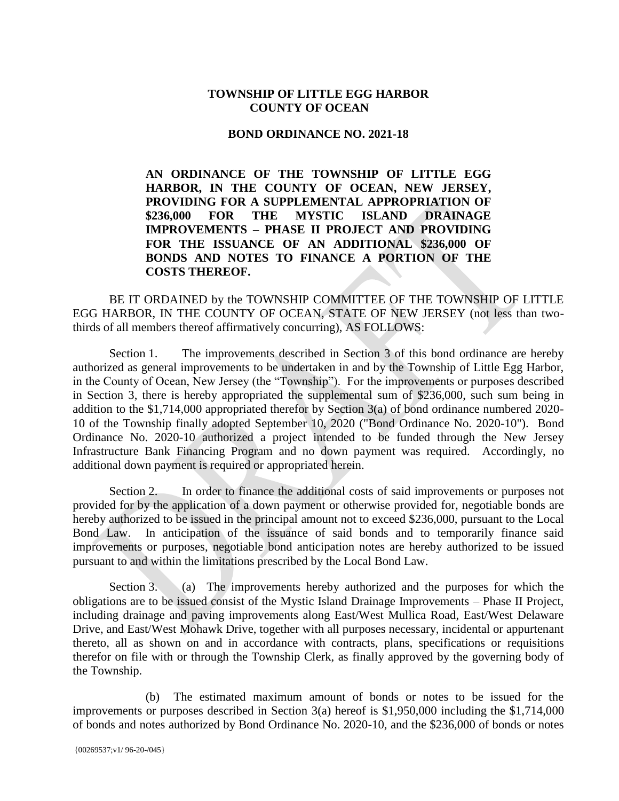## **TOWNSHIP OF LITTLE EGG HARBOR COUNTY OF OCEAN**

## **BOND ORDINANCE NO. 2021-18**

**AN ORDINANCE OF THE TOWNSHIP OF LITTLE EGG HARBOR, IN THE COUNTY OF OCEAN, NEW JERSEY, PROVIDING FOR A SUPPLEMENTAL APPROPRIATION OF \$236,000 FOR THE MYSTIC ISLAND DRAINAGE IMPROVEMENTS – PHASE II PROJECT AND PROVIDING FOR THE ISSUANCE OF AN ADDITIONAL \$236,000 OF BONDS AND NOTES TO FINANCE A PORTION OF THE COSTS THEREOF.**

BE IT ORDAINED by the TOWNSHIP COMMITTEE OF THE TOWNSHIP OF LITTLE EGG HARBOR, IN THE COUNTY OF OCEAN, STATE OF NEW JERSEY (not less than twothirds of all members thereof affirmatively concurring), AS FOLLOWS:

Section 1. The improvements described in Section 3 of this bond ordinance are hereby authorized as general improvements to be undertaken in and by the Township of Little Egg Harbor, in the County of Ocean, New Jersey (the "Township"). For the improvements or purposes described in Section 3, there is hereby appropriated the supplemental sum of \$236,000, such sum being in addition to the \$1,714,000 appropriated therefor by Section 3(a) of bond ordinance numbered 2020- 10 of the Township finally adopted September 10, 2020 ("Bond Ordinance No. 2020-10"). Bond Ordinance No. 2020-10 authorized a project intended to be funded through the New Jersey Infrastructure Bank Financing Program and no down payment was required. Accordingly, no additional down payment is required or appropriated herein.

Section 2. In order to finance the additional costs of said improvements or purposes not provided for by the application of a down payment or otherwise provided for, negotiable bonds are hereby authorized to be issued in the principal amount not to exceed \$236,000, pursuant to the Local Bond Law. In anticipation of the issuance of said bonds and to temporarily finance said improvements or purposes, negotiable bond anticipation notes are hereby authorized to be issued pursuant to and within the limitations prescribed by the Local Bond Law.

Section 3. (a) The improvements hereby authorized and the purposes for which the obligations are to be issued consist of the Mystic Island Drainage Improvements – Phase II Project, including drainage and paving improvements along East/West Mullica Road, East/West Delaware Drive, and East/West Mohawk Drive, together with all purposes necessary, incidental or appurtenant thereto, all as shown on and in accordance with contracts, plans, specifications or requisitions therefor on file with or through the Township Clerk, as finally approved by the governing body of the Township.

(b) The estimated maximum amount of bonds or notes to be issued for the improvements or purposes described in Section 3(a) hereof is \$1,950,000 including the \$1,714,000 of bonds and notes authorized by Bond Ordinance No. 2020-10, and the \$236,000 of bonds or notes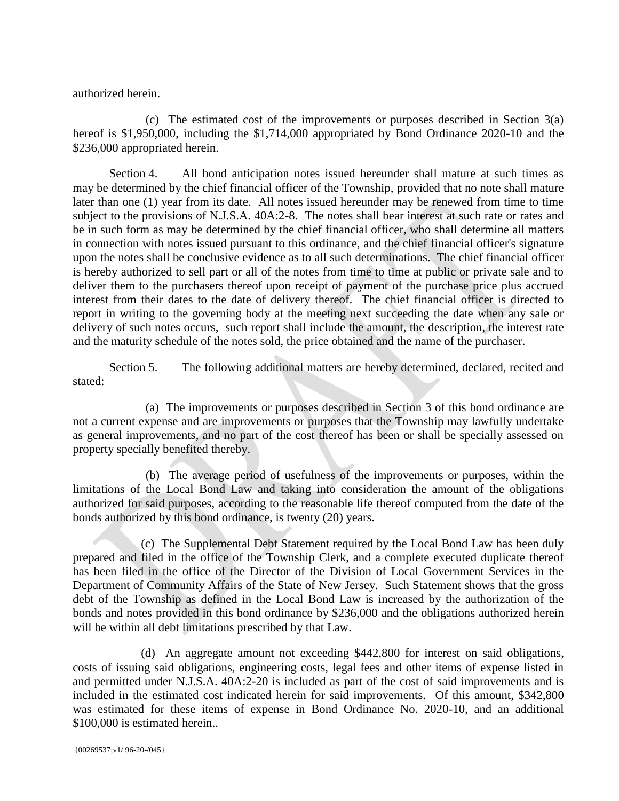authorized herein.

(c) The estimated cost of the improvements or purposes described in Section 3(a) hereof is \$1,950,000, including the \$1,714,000 appropriated by Bond Ordinance 2020-10 and the \$236,000 appropriated herein.

Section 4. All bond anticipation notes issued hereunder shall mature at such times as may be determined by the chief financial officer of the Township, provided that no note shall mature later than one (1) year from its date. All notes issued hereunder may be renewed from time to time subject to the provisions of N.J.S.A. 40A:2-8. The notes shall bear interest at such rate or rates and be in such form as may be determined by the chief financial officer, who shall determine all matters in connection with notes issued pursuant to this ordinance, and the chief financial officer's signature upon the notes shall be conclusive evidence as to all such determinations. The chief financial officer is hereby authorized to sell part or all of the notes from time to time at public or private sale and to deliver them to the purchasers thereof upon receipt of payment of the purchase price plus accrued interest from their dates to the date of delivery thereof. The chief financial officer is directed to report in writing to the governing body at the meeting next succeeding the date when any sale or delivery of such notes occurs, such report shall include the amount, the description, the interest rate and the maturity schedule of the notes sold, the price obtained and the name of the purchaser.

Section 5. The following additional matters are hereby determined, declared, recited and stated:

(a) The improvements or purposes described in Section 3 of this bond ordinance are not a current expense and are improvements or purposes that the Township may lawfully undertake as general improvements, and no part of the cost thereof has been or shall be specially assessed on property specially benefited thereby.

(b) The average period of usefulness of the improvements or purposes, within the limitations of the Local Bond Law and taking into consideration the amount of the obligations authorized for said purposes, according to the reasonable life thereof computed from the date of the bonds authorized by this bond ordinance, is twenty (20) years.

(c) The Supplemental Debt Statement required by the Local Bond Law has been duly prepared and filed in the office of the Township Clerk, and a complete executed duplicate thereof has been filed in the office of the Director of the Division of Local Government Services in the Department of Community Affairs of the State of New Jersey. Such Statement shows that the gross debt of the Township as defined in the Local Bond Law is increased by the authorization of the bonds and notes provided in this bond ordinance by \$236,000 and the obligations authorized herein will be within all debt limitations prescribed by that Law.

(d) An aggregate amount not exceeding \$442,800 for interest on said obligations, costs of issuing said obligations, engineering costs, legal fees and other items of expense listed in and permitted under N.J.S.A. 40A:2-20 is included as part of the cost of said improvements and is included in the estimated cost indicated herein for said improvements. Of this amount, \$342,800 was estimated for these items of expense in Bond Ordinance No. 2020-10, and an additional \$100,000 is estimated herein..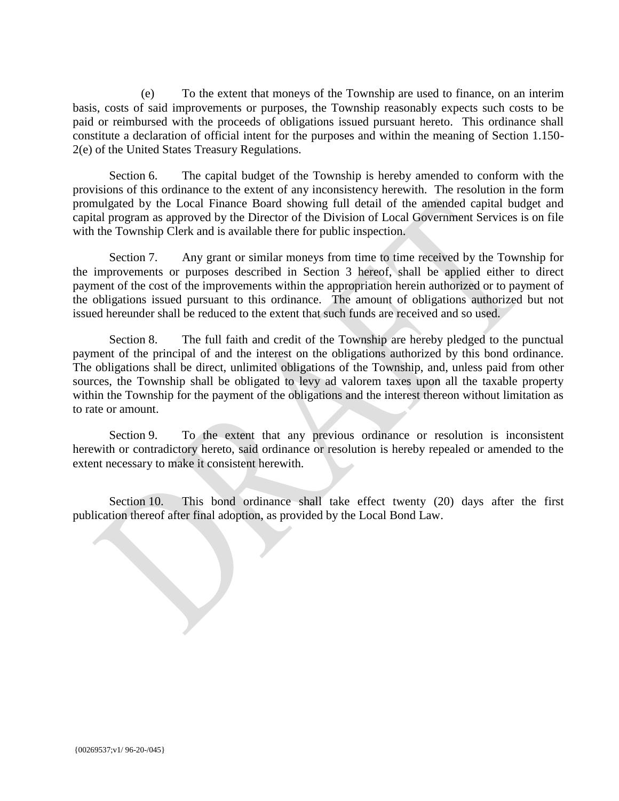(e) To the extent that moneys of the Township are used to finance, on an interim basis, costs of said improvements or purposes, the Township reasonably expects such costs to be paid or reimbursed with the proceeds of obligations issued pursuant hereto. This ordinance shall constitute a declaration of official intent for the purposes and within the meaning of Section 1.150- 2(e) of the United States Treasury Regulations.

Section 6. The capital budget of the Township is hereby amended to conform with the provisions of this ordinance to the extent of any inconsistency herewith. The resolution in the form promulgated by the Local Finance Board showing full detail of the amended capital budget and capital program as approved by the Director of the Division of Local Government Services is on file with the Township Clerk and is available there for public inspection.

Section 7. Any grant or similar moneys from time to time received by the Township for the improvements or purposes described in Section 3 hereof, shall be applied either to direct payment of the cost of the improvements within the appropriation herein authorized or to payment of the obligations issued pursuant to this ordinance. The amount of obligations authorized but not issued hereunder shall be reduced to the extent that such funds are received and so used.

Section 8. The full faith and credit of the Township are hereby pledged to the punctual payment of the principal of and the interest on the obligations authorized by this bond ordinance. The obligations shall be direct, unlimited obligations of the Township, and, unless paid from other sources, the Township shall be obligated to levy ad valorem taxes upon all the taxable property within the Township for the payment of the obligations and the interest thereon without limitation as to rate or amount.

Section 9. To the extent that any previous ordinance or resolution is inconsistent herewith or contradictory hereto, said ordinance or resolution is hereby repealed or amended to the extent necessary to make it consistent herewith.

Section 10. This bond ordinance shall take effect twenty (20) days after the first publication thereof after final adoption, as provided by the Local Bond Law.